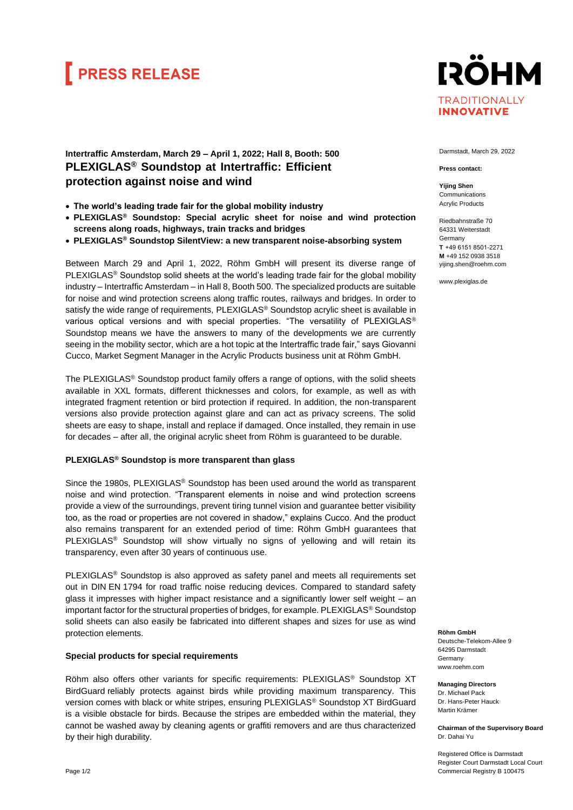# **FRESS RELEASE**

### **IRÖHM TRADITIONALLY INNOVATIVE**

### **Intertraffic Amsterdam, March 29 – April 1, 2022; Hall 8, Booth: 500 PLEXIGLAS® Soundstop at Intertraffic: Efficient protection against noise and wind**

- **The world's leading trade fair for the global mobility industry**
- **PLEXIGLAS® Soundstop: Special acrylic sheet for noise and wind protection screens along roads, highways, train tracks and bridges**
- **PLEXIGLAS® Soundstop SilentView: a new transparent noise-absorbing system**

Between March 29 and April 1, 2022, Röhm GmbH will present its diverse range of PLEXIGLAS<sup>®</sup> Soundstop solid sheets at the world's leading trade fair for the global mobility industry – Intertraffic Amsterdam – in Hall 8, Booth 500. The specialized products are suitable for noise and wind protection screens along traffic routes, railways and bridges. In order to satisfy the wide range of requirements, PLEXIGLAS® Soundstop acrylic sheet is available in various optical versions and with special properties. "The versatility of PLEXIGLAS® Soundstop means we have the answers to many of the developments we are currently seeing in the mobility sector, which are a hot topic at the Intertraffic trade fair," says Giovanni Cucco, Market Segment Manager in the Acrylic Products business unit at Röhm GmbH.

The PLEXIGLAS® Soundstop product family offers a range of options, with the solid sheets available in XXL formats, different thicknesses and colors, for example, as well as with integrated fragment retention or bird protection if required. In addition, the non-transparent versions also provide protection against glare and can act as privacy screens. The solid sheets are easy to shape, install and replace if damaged. Once installed, they remain in use for decades – after all, the original acrylic sheet from Röhm is guaranteed to be durable.

#### **PLEXIGLAS® Soundstop is more transparent than glass**

Since the 1980s, PLEXIGLAS® Soundstop has been used around the world as transparent [noise a](https://www.plexiglas.de/en/applications#industrie-architektur/laermschutz)nd wind protection. "Transparent elements in noise and wind protection screens provide a view of the surroundings, prevent tiring tunnel vision and guarantee better visibility too, as the road or properties are not covered in shadow," explains Cucco. And the product also remains transparent for an extended period of time: Röhm GmbH [guarantees](https://www.plexiglas.de/en/about-us/30-year-guarantee) that PLEXIGLAS<sup>®</sup> Soundstop will show virtually no signs of yellowing and will retain its transparency, even after 30 years of continuous use.

PLEXIGLAS® Soundstop is also [approved](https://www.plexiglas.de/en/service/product-info/approvals) as safety panel and meets all requirements set out in DIN EN 1794 for road traffic noise reducing devices. Compared to standard safety glass it impresses with higher impact resistance and a significantly lower self weight – an important factor for the structural properties of bridges, for example. PLEXIGLAS® Soundstop solid sheets can also easily be fabricated into different shapes and sizes for use as wind protection elements.

#### **Special products for special requirements**

Röhm also offers other variants for specific requirements: PLEXIGLAS® Soundstop XT BirdGuard reliably protects against birds while providing maximum transparency. This version comes with black or white stripes, ensuring PLEXIGLAS® Soundstop XT BirdGuard is a visible obstacle for birds. Because the stripes are embedded within the material, they cannot be washed away by cleaning agents or graffiti removers and are thus characterized by their high durability.

Darmstadt, March 29, 2022

**Press contact:**

**Yijing Shen** Communications Acrylic Products

Riedbahnstraße 70 64331 Weiterstadt Germany **T**  +49 6151 8501-2271 **M** +49 152 0938 3518 [yijing.shen@roehm.com](mailto:yijing.shen@roehm.com)

www.plexiglas.de

**Röhm GmbH** Deutsche-Telekom-Allee 9

64295 Darmstadt **Germany** www.roehm.com

**Managing Directors** Dr. Michael Pack Dr. Hans-Peter Hauck Martin Krämer

**Chairman of the Supervisory Board** Dr. Dahai Yu

Registered Office is Darmstadt Register Court Darmstadt Local Court Commercial Registry B 100475